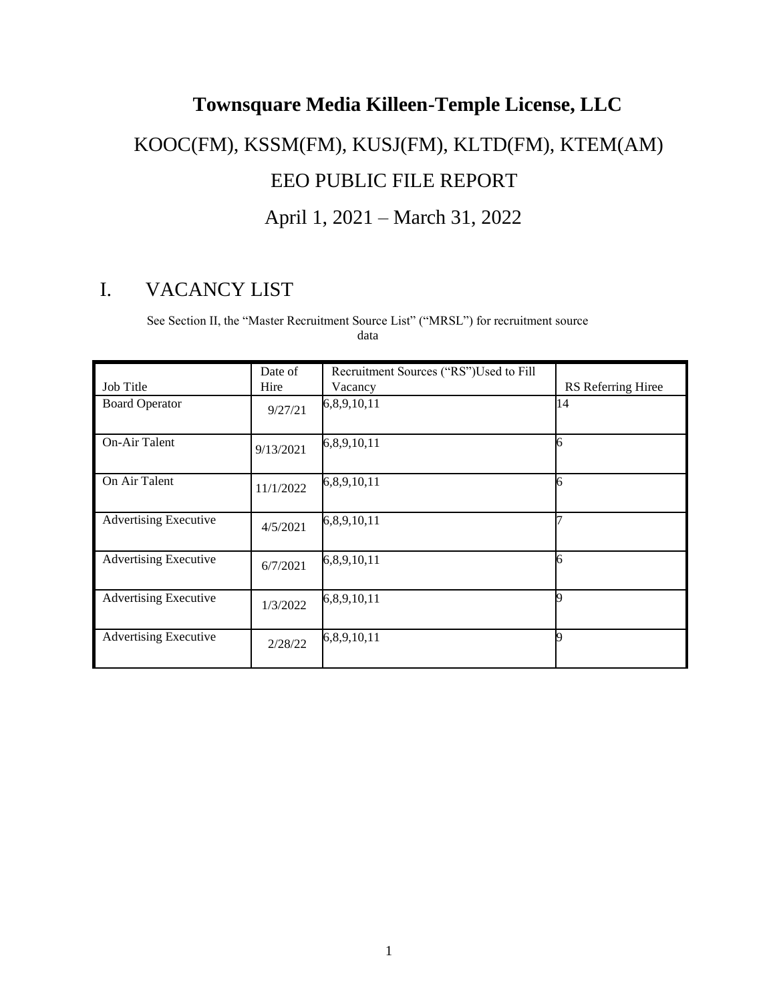## **Townsquare Media Killeen-Temple License, LLC** KOOC(FM), KSSM(FM), KUSJ(FM), KLTD(FM), KTEM(AM) EEO PUBLIC FILE REPORT April 1, 2021 – March 31, 2022

## I. VACANCY LIST

See Section II, the "Master Recruitment Source List" ("MRSL") for recruitment source data

|                              | Date of   | Recruitment Sources ("RS")Used to Fill |                    |
|------------------------------|-----------|----------------------------------------|--------------------|
| <b>Job Title</b>             | Hire      | Vacancy                                | RS Referring Hiree |
| <b>Board Operator</b>        | 9/27/21   | 6,8,9,10,11                            | 14                 |
| On-Air Talent                | 9/13/2021 | 6,8,9,10,11                            | б                  |
| On Air Talent                | 11/1/2022 | 6,8,9,10,11                            | б                  |
| <b>Advertising Executive</b> | 4/5/2021  | 6,8,9,10,11                            |                    |
| <b>Advertising Executive</b> | 6/7/2021  | 6,8,9,10,11                            | б                  |
| <b>Advertising Executive</b> | 1/3/2022  | 6,8,9,10,11                            |                    |
| <b>Advertising Executive</b> | 2/28/22   | 6,8,9,10,11                            |                    |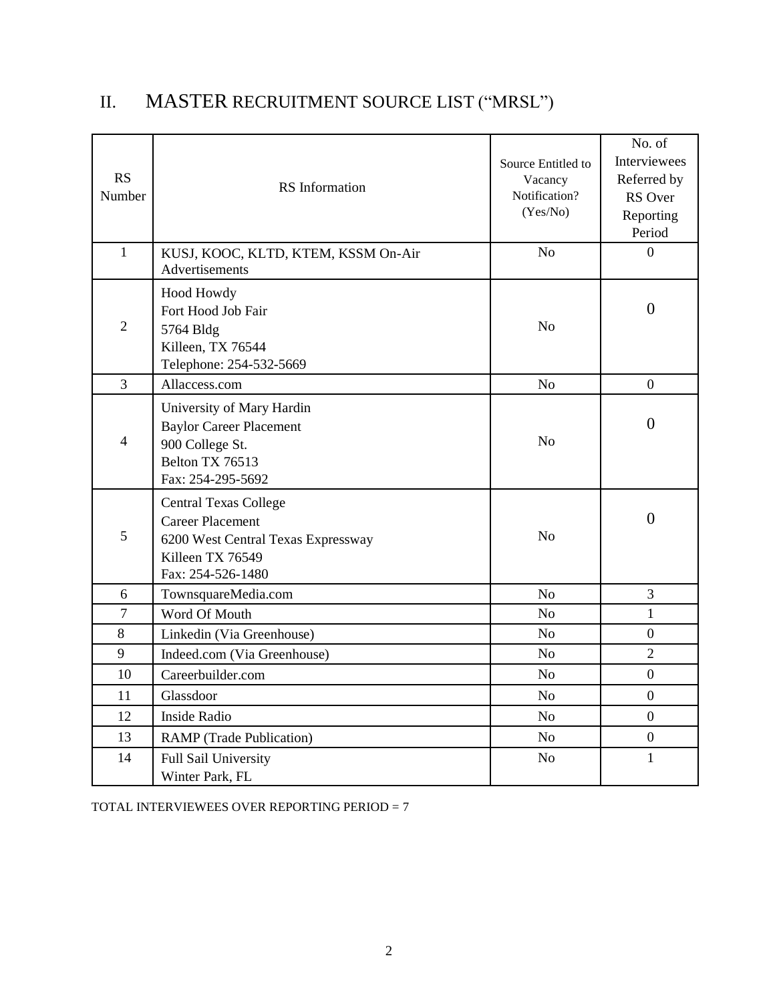| <b>RS</b><br>Number | <b>RS</b> Information                                                                                                                  | Source Entitled to<br>Vacancy<br>Notification?<br>(Yes/No) | No. of<br>Interviewees<br>Referred by<br>RS Over<br>Reporting<br>Period |
|---------------------|----------------------------------------------------------------------------------------------------------------------------------------|------------------------------------------------------------|-------------------------------------------------------------------------|
| $\mathbf{1}$        | KUSJ, KOOC, KLTD, KTEM, KSSM On-Air<br>Advertisements                                                                                  | N <sub>o</sub>                                             | $\overline{0}$                                                          |
| $\overline{2}$      | Hood Howdy<br>Fort Hood Job Fair<br>5764 Bldg<br>Killeen, TX 76544<br>Telephone: 254-532-5669                                          | N <sub>o</sub>                                             | $\overline{0}$                                                          |
| $\overline{3}$      | Allaccess.com                                                                                                                          | N <sub>o</sub>                                             | $\overline{0}$                                                          |
| $\overline{4}$      | University of Mary Hardin<br><b>Baylor Career Placement</b><br>900 College St.<br>Belton TX 76513<br>Fax: 254-295-5692                 | N <sub>o</sub>                                             | $\overline{0}$                                                          |
| 5                   | <b>Central Texas College</b><br><b>Career Placement</b><br>6200 West Central Texas Expressway<br>Killeen TX 76549<br>Fax: 254-526-1480 | N <sub>o</sub>                                             | $\overline{0}$                                                          |
| 6                   | TownsquareMedia.com                                                                                                                    | N <sub>o</sub>                                             | 3                                                                       |
| $\overline{7}$      | Word Of Mouth                                                                                                                          | N <sub>o</sub>                                             | $\mathbf{1}$                                                            |
| 8                   | Linkedin (Via Greenhouse)                                                                                                              | N <sub>o</sub>                                             | $\overline{0}$                                                          |
| 9                   | Indeed.com (Via Greenhouse)                                                                                                            | N <sub>o</sub>                                             | $\overline{2}$                                                          |
| 10                  | Careerbuilder.com                                                                                                                      | N <sub>o</sub>                                             | $\overline{0}$                                                          |
| 11                  | Glassdoor                                                                                                                              | N <sub>o</sub>                                             | $\overline{0}$                                                          |
| 12                  | Inside Radio                                                                                                                           | N <sub>o</sub>                                             | $\overline{0}$                                                          |
| 13                  | <b>RAMP</b> (Trade Publication)                                                                                                        | N <sub>o</sub>                                             | $\boldsymbol{0}$                                                        |
| 14                  | Full Sail University<br>Winter Park, FL                                                                                                | N <sub>o</sub>                                             | $\mathbf{1}$                                                            |

## II. MASTER RECRUITMENT SOURCE LIST ("MRSL")

TOTAL INTERVIEWEES OVER REPORTING PERIOD = 7